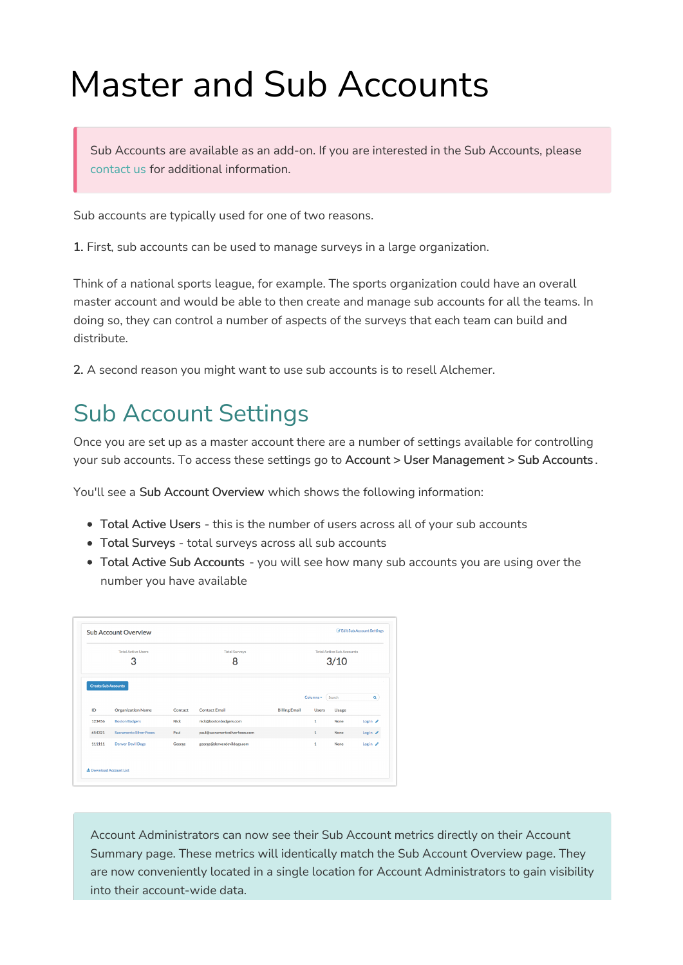# Master and Sub Accounts

Sub Accounts are available as an add-on. If you are interested in the Sub Accounts, please [contact](https://www.alchemer.com/contact/) us for additional information.

Sub accounts are typically used for one of two reasons.

1. First, sub accounts can be used to manage surveys in a large organization.

Think of a national sports league, for example. The sports organization could have an overall master account and would be able to then create and manage sub accounts for all the teams. In doing so, they can control a number of aspects of the surveys that each team can build and distribute.

2. A second reason you might want to use sub accounts is to resell Alchemer.

## Sub Account Settings

Once you are set up as a master account there are a number of settings available for controlling your sub accounts. To access these settings go to Account > User Management > Sub Accounts .

You'll see a Sub Account Overview which shows the following information:

- Total Active Users this is the number of users across all of your sub accounts
- Total Surveys total surveys across all sub accounts
- Total Active Sub Accounts you will see how many sub accounts you are using over the number you have available

|                            | <b>Total Active Users</b>      |         | <b>Total Surveys</b>           |                      |              | <b>Total Active Sub Accounts</b> |               |
|----------------------------|--------------------------------|---------|--------------------------------|----------------------|--------------|----------------------------------|---------------|
|                            | 3                              |         | 8                              |                      |              | 3/10                             |               |
| <b>Create Sub Accounts</b> |                                |         |                                |                      | Columns -    | Search                           | $\alpha$      |
| ID                         | <b>Organization Name</b>       | Contact | <b>Contact Email</b>           | <b>Billing Email</b> | <b>Users</b> | <b>Usage</b>                     |               |
|                            | <b>Boston Badgers</b>          | Nick    | nick@bostonbadgers.com         |                      | $\mathbf{1}$ | None                             | Log in $\rho$ |
| 123456                     |                                |         |                                |                      |              |                                  | Log in $\rho$ |
| 654321                     | <b>Sacramento Silver Foxes</b> | Paul    | paul@sacramentosilverfoxes.com |                      | $\mathbf{1}$ | None                             |               |

Account Administrators can now see their Sub Account metrics directly on their Account Summary page. These metrics will identically match the Sub Account Overview page. They are now conveniently located in a single location for Account Administrators to gain visibility into their account-wide data.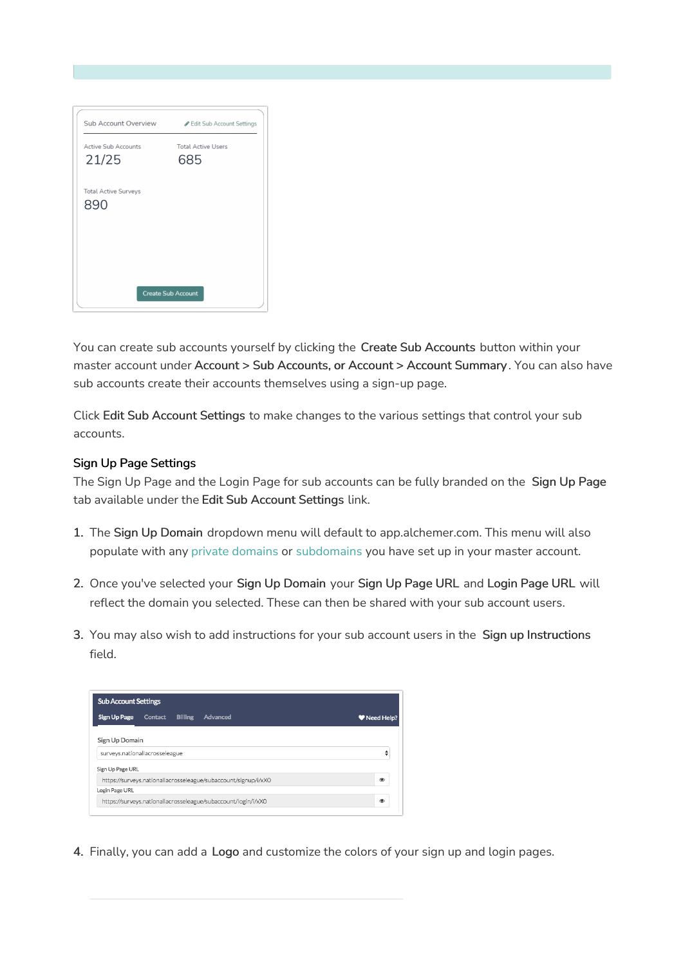| Sub Account Overview                | Edit Sub Account Settings        |
|-------------------------------------|----------------------------------|
| <b>Active Sub Accounts</b><br>21/25 | <b>Total Active Users</b><br>685 |
| <b>Total Active Surveys</b><br>890  |                                  |
|                                     |                                  |
|                                     |                                  |
|                                     | <b>Create Sub Account</b>        |

You can create sub accounts yourself by clicking the Create Sub Accounts button within your master account under Account > Sub Accounts, or Account > Account Summary. You can also have sub accounts create their accounts themselves using a sign-up page.

Click Edit Sub Account Settings to make changes to the various settings that control your sub accounts.

#### Sign Up Page Settings

The Sign Up Page and the Login Page for sub accounts can be fully branded on the Sign Up Page tab available under the Edit Sub Account Settings link.

- 1. The Sign Up Domain dropdown menu will default to app.alchemer.com. This menu will also populate with any private [domains](http://help.alchemer.com/help/set-up-a-private-domain) or [subdomains](http://help.alchemer.com/help/set-up-a-branded-subdomain) you have set up in your master account.
- 2. Once you've selected your Sign Up Domain your Sign Up Page URL and Login Page URL will reflect the domain you selected. These can then be shared with your sub account users.
- 3. You may also wish to add instructions for your sub account users in the Sign up Instructions field.

| <b>Sub Account Settings</b>    |         |                |                                                                |              |
|--------------------------------|---------|----------------|----------------------------------------------------------------|--------------|
| <b>Sign Up Page</b>            | Contact | <b>Billing</b> | Advanced                                                       | W Need Help? |
| Sign Up Domain                 |         |                |                                                                |              |
| surveys.nationallacrosseleague |         |                |                                                                | ÷            |
| Sign Up Page URL               |         |                |                                                                |              |
|                                |         |                | https://surveys.nationallacrosseleague/subaccount/signup/i/xX0 | ை            |
| Login Page URL                 |         |                |                                                                |              |
|                                |         |                | https://surveys.nationallacrosseleague/subaccount/login/i/xX0  | ை            |

4. Finally, you can add a Logo and customize the colors of your sign up and login pages.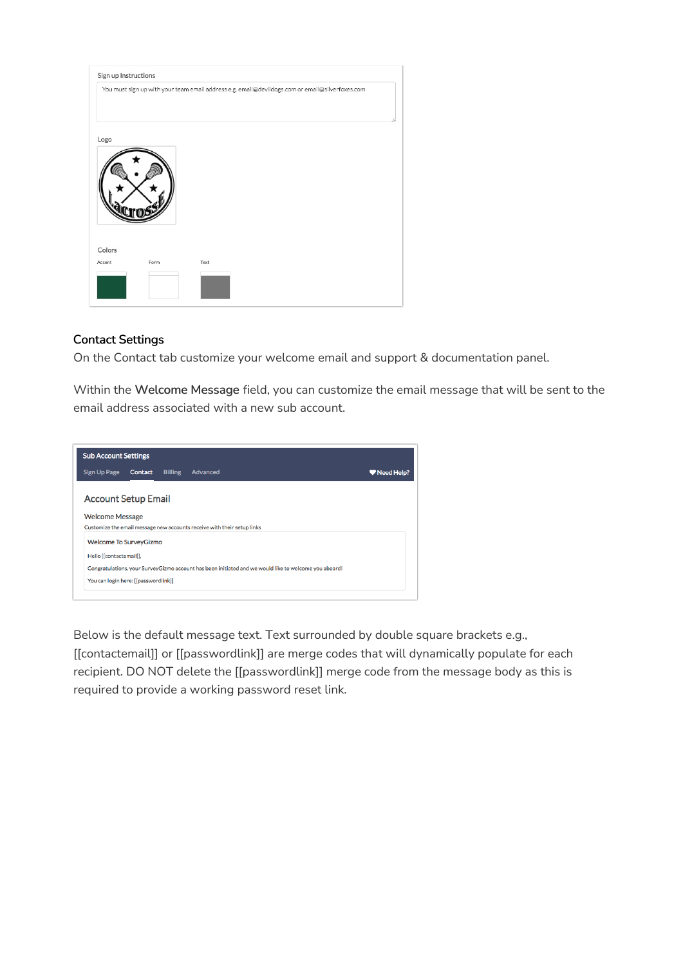|        |      | You must sign up with your team email address e.g. email@devildogs.com or email@silverfoxes.com |  |
|--------|------|-------------------------------------------------------------------------------------------------|--|
| Logo   |      |                                                                                                 |  |
| Colors |      |                                                                                                 |  |
| Accent | Form | Text                                                                                            |  |
|        |      |                                                                                                 |  |

#### Contact Settings

On the Contact tab customize your welcome email and support & documentation panel.

Within the Welcome Message field, you can customize the email message that will be sent to the email address associated with a new sub account.



Below is the default message text. Text surrounded by double square brackets e.g., [[contactemail]] or [[passwordlink]] are merge codes that will dynamically populate for each recipient. DO NOT delete the [[passwordlink]] merge code from the message body as this is required to provide a working password reset link.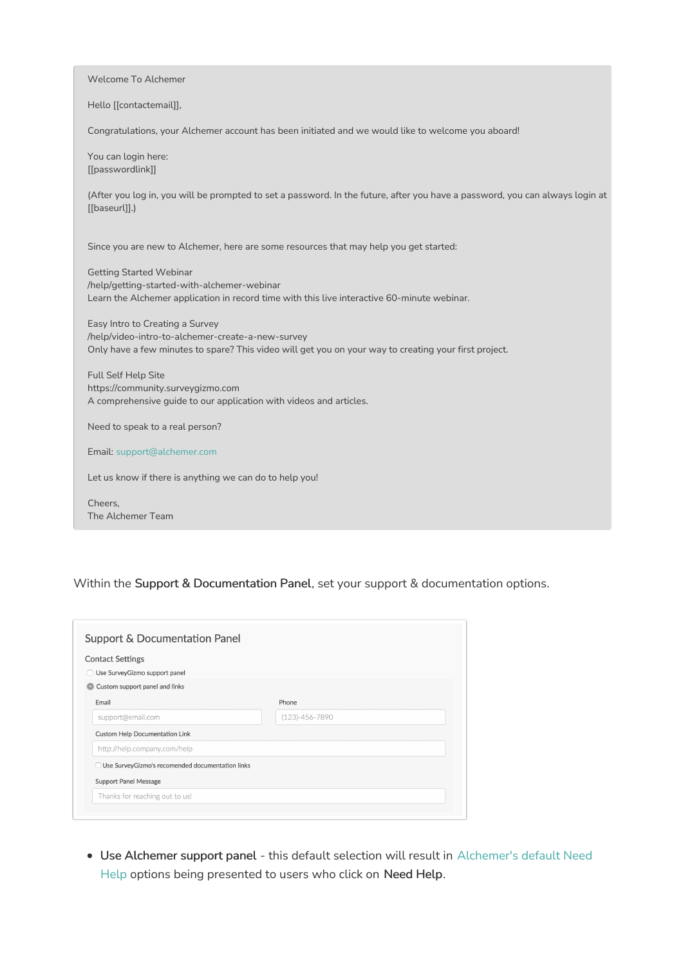Welcome To Alchemer Hello [[contactemail]], Congratulations, your Alchemer account has been initiated and we would like to welcome you aboard! You can login here: [[passwordlink]] (After you log in, you will be prompted to set a password. In the future, after you have a password, you can always login at [[baseurl]].) Since you are new to Alchemer, here are some resources that may help you get started: Getting Started Webinar /help/getting-started-with-alchemer-webinar Learn the Alchemer application in record time with this live interactive 60-minute webinar. Easy Intro to Creating a Survey /help/video-intro-to-alchemer-create-a-new-survey Only have a few minutes to spare? This video will get you on your way to creating your first project. Full Self Help Site https://community.surveygizmo.com A comprehensive guide to our application with videos and articles. Need to speak to a real person? Email: support@alchemer.com Let us know if there is anything we can do to help you! Cheers,

#### Within the Support & Documentation Panel, set your support & documentation options.

| <b>Contact Settings</b>                            |                      |  |
|----------------------------------------------------|----------------------|--|
| Use SurveyGizmo support panel                      |                      |  |
| Custom support panel and links                     |                      |  |
| Email                                              | Phone                |  |
| support@email.com                                  | $(123) - 456 - 7890$ |  |
| <b>Custom Help Documentation Link</b>              |                      |  |
| http://help.company.com/help                       |                      |  |
| □ Use SurveyGizmo's recomended documentation links |                      |  |
| <b>Support Panel Message</b>                       |                      |  |

The Alchemer Team

Use Alchemer support panel - this default selection will result in [Alchemer's](http://help.alchemer.com/help/surveygizmo-support-hours) default Need Help options being presented to users who click on Need Help.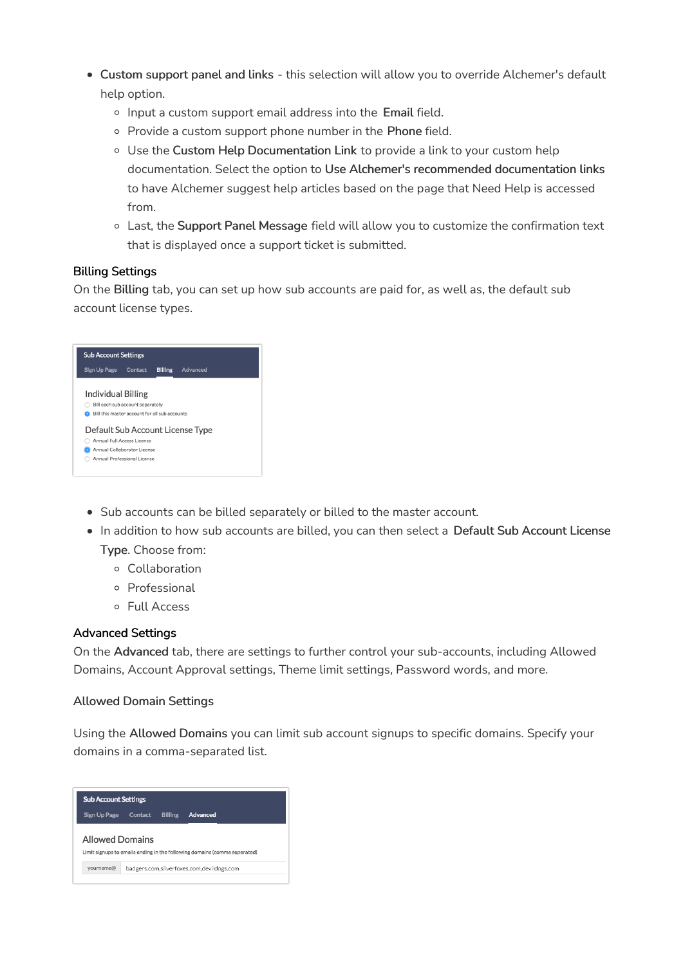- Custom support panel and links this selection will allow you to override Alchemer's default help option.
	- o Input a custom support email address into the Email field.
	- o Provide a custom support phone number in the Phone field.
	- $\circ$  Use the Custom Help Documentation Link to provide a link to your custom help documentation. Select the option to Use Alchemer's recommended documentation links to have Alchemer suggest help articles based on the page that Need Help is accessed from.
	- o Last, the Support Panel Message field will allow you to customize the confirmation text that is displayed once a support ticket is submitted.

#### Billing Settings

On the Billing tab, you can set up how sub accounts are paid for, as well as, the default sub account license types.

| <b>Sign Up Page</b>              | Contact                                       | <b>Billing</b> | Advanced |  |
|----------------------------------|-----------------------------------------------|----------------|----------|--|
| <b>Individual Billing</b>        |                                               |                |          |  |
|                                  | Bill each sub account separately              |                |          |  |
|                                  | Bill this master account for all sub accounts |                |          |  |
|                                  |                                               |                |          |  |
| Default Sub Account License Type |                                               |                |          |  |
|                                  | Annual Full Access License                    |                |          |  |
|                                  | Annual Collaborator License                   |                |          |  |
|                                  |                                               |                |          |  |

- Sub accounts can be billed separately or billed to the master account.
- In addition to how sub accounts are billed, you can then select a Default Sub Account License Type. Choose from:
	- Collaboration
	- Professional
	- Full Access

#### Advanced Settings

On the Advanced tab, there are settings to further control your sub-accounts, including Allowed Domains, Account Approval settings, Theme limit settings, Password words, and more.

#### Allowed Domain Settings

Using the Allowed Domains you can limit sub account signups to specific domains. Specify your domains in a comma-separated list.

| <b>Sub Account Settings</b> |         |                |                                                                           |
|-----------------------------|---------|----------------|---------------------------------------------------------------------------|
| <b>Sign Up Page</b>         | Contact | <b>Billing</b> | Advanced                                                                  |
|                             |         |                |                                                                           |
|                             |         |                |                                                                           |
|                             |         |                |                                                                           |
| <b>Allowed Domains</b>      |         |                | Limit signups to emails ending in the following domains (comma seperated) |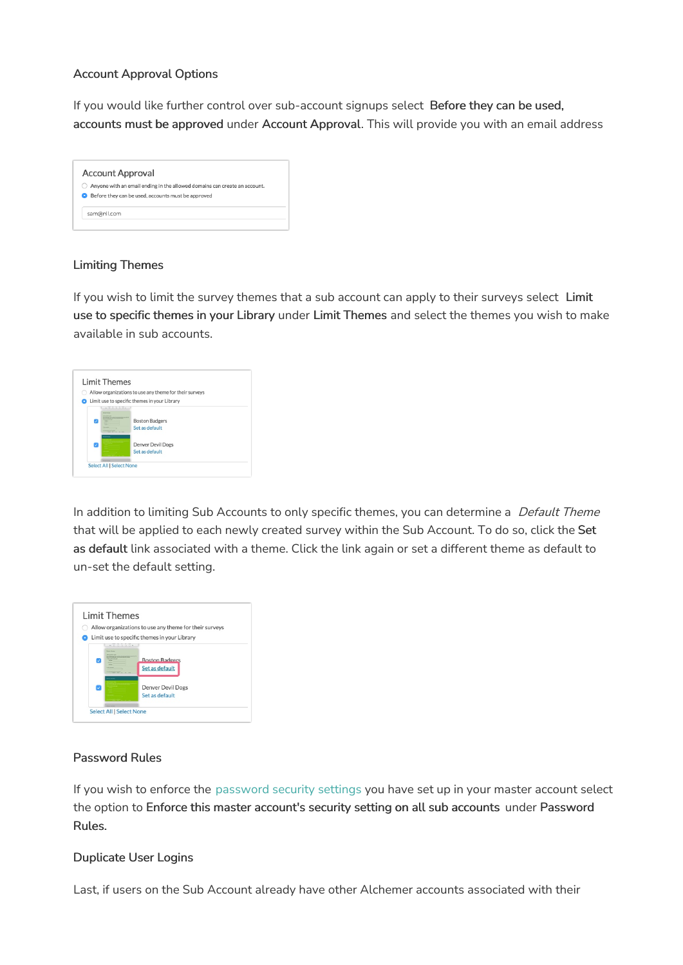#### Account Approval Options

If you would like further control over sub-account signups select Before they can be used, accounts must be approved under Account Approval. This will provide you with an email address

| Anyone with an email ending in the allowed domains can create an account. |
|---------------------------------------------------------------------------|
|                                                                           |
| Before they can be used, accounts must be approved                        |

#### Limiting Themes

If you wish to limit the survey themes that a sub account can apply to their surveys select Limit use to specific themes in your Library under Limit Themes and select the themes you wish to make available in sub accounts.



In addition to limiting Sub Accounts to only specific themes, you can determine a *Default Theme* that will be applied to each newly created survey within the Sub Account. To do so, click the Set as default link associated with a theme. Click the link again or set a different theme as default to un-set the default setting.



#### Password Rules

If you wish to enforce the [password](http://help.alchemer.com/help/password-security-settings) security settings you have set up in your master account select the option to Enforce this master account's security setting on all sub accounts under Password Rules.

#### Duplicate User Logins

Last, if users on the Sub Account already have other Alchemer accounts associated with their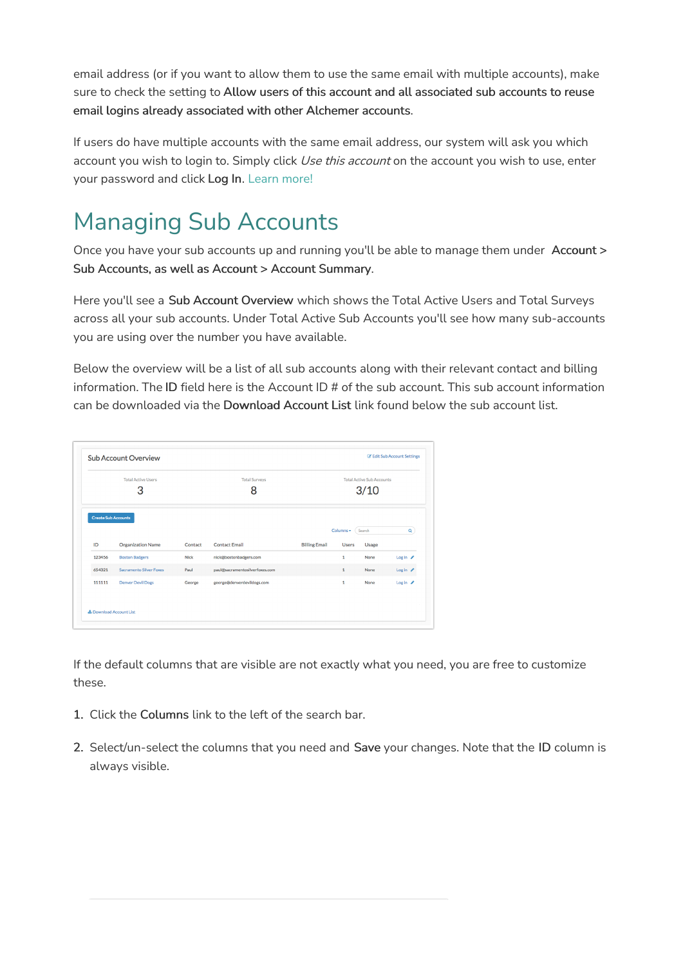email address (or if you want to allow them to use the same email with multiple accounts), make sure to check the setting to Allow users of this account and all associated sub accounts to reuse email logins already associated with other Alchemer accounts.

If users do have multiple accounts with the same email address, our system will ask you which account you wish to login to. Simply click Use this account on the account you wish to use, enter your password and click Log In. Learn [more!](https://help.alchemer.com/help/trouble-logging-in#you-have-multiple-accounts-with-the-same-email-address)

# Managing Sub Accounts

Once you have your sub accounts up and running you'll be able to manage them under Account > Sub Accounts, as well as Account > Account Summary.

Here you'll see a Sub Account Overview which shows the Total Active Users and Total Surveys across all your sub accounts. Under Total Active Sub Accounts you'll see how many sub-accounts you are using over the number you have available.

Below the overview will be a list of all sub accounts along with their relevant contact and billing information. The ID field here is the Account ID  $\#$  of the sub account. This sub account information can be downloaded via the Download Account List link found below the sub account list.

|                            | <b>Total Active Users</b>      |         | <b>Total Surveys</b>           |                      |              | <b>Total Active Sub Accounts</b> |               |
|----------------------------|--------------------------------|---------|--------------------------------|----------------------|--------------|----------------------------------|---------------|
|                            | 3                              |         | 8                              |                      |              | 3/10                             |               |
|                            |                                |         |                                |                      |              |                                  |               |
| <b>Create Sub Accounts</b> |                                |         |                                |                      |              |                                  |               |
|                            |                                |         |                                |                      | Columns +    | Search                           | $\alpha$      |
| ID                         | <b>Organization Name</b>       | Contact | <b>Contact Email</b>           | <b>Billing Email</b> | <b>Users</b> | <b>Usage</b>                     |               |
| 123456                     | <b>Boston Badgers</b>          | Nick    | nick@bostonbadgers.com         |                      | $\mathbf{1}$ | None                             | Log in $\rho$ |
| 654321                     | <b>Sacramento Silver Foxes</b> | Paul    | paul@sacramentosilverfoxes.com |                      | $\mathbf{1}$ | None                             | Login $\ell$  |

If the default columns that are visible are not exactly what you need, you are free to customize these.

- 1. Click the Columns link to the left of the search bar.
- 2. Select/un-select the columns that you need and Save your changes. Note that the ID column is always visible.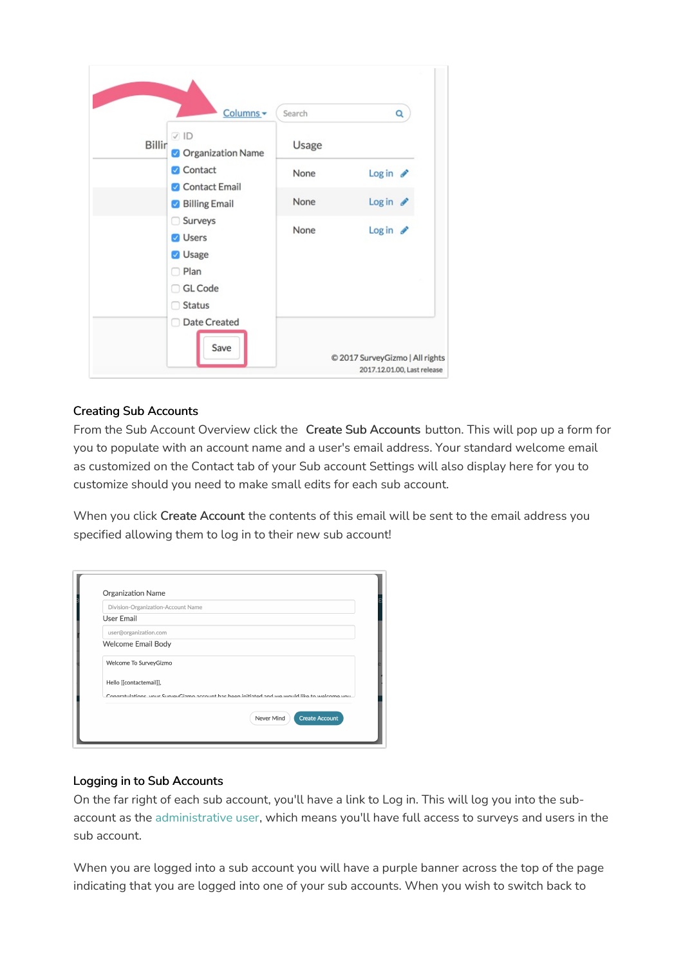| √ ID<br><b>Billir</b><br>Usage<br>Organization Name<br>Contact<br>Log in $\rho$<br>None<br>Contact Email<br>Log in $\mathscr N$<br>None<br><b>Billing Email</b><br>□ Surveys<br>None<br>Log in $\mathscr N$<br><b>D</b> Users<br><b>J</b> Usage<br>□ Plan<br>GL Code<br>□ Status<br>Date Created | Columns - | Search | Q                               |
|--------------------------------------------------------------------------------------------------------------------------------------------------------------------------------------------------------------------------------------------------------------------------------------------------|-----------|--------|---------------------------------|
|                                                                                                                                                                                                                                                                                                  |           |        |                                 |
|                                                                                                                                                                                                                                                                                                  |           |        |                                 |
|                                                                                                                                                                                                                                                                                                  |           |        |                                 |
|                                                                                                                                                                                                                                                                                                  |           |        |                                 |
|                                                                                                                                                                                                                                                                                                  |           |        |                                 |
|                                                                                                                                                                                                                                                                                                  |           |        |                                 |
|                                                                                                                                                                                                                                                                                                  |           |        |                                 |
|                                                                                                                                                                                                                                                                                                  |           |        |                                 |
|                                                                                                                                                                                                                                                                                                  |           |        |                                 |
|                                                                                                                                                                                                                                                                                                  |           |        |                                 |
|                                                                                                                                                                                                                                                                                                  |           |        |                                 |
|                                                                                                                                                                                                                                                                                                  |           |        |                                 |
|                                                                                                                                                                                                                                                                                                  | Save      |        | © 2017 SurveyGizmo   All rights |

#### Creating Sub Accounts

From the Sub Account Overview click the Create Sub Accounts button. This will pop up a form for you to populate with an account name and a user's email address. Your standard welcome email as customized on the Contact tab of your Sub account Settings will also display here for you to customize should you need to make small edits for each sub account.

When you click Create Account the contents of this email will be sent to the email address you specified allowing them to log in to their new sub account!

| Division-Organization-Account Name |                                                                                                |
|------------------------------------|------------------------------------------------------------------------------------------------|
| User Email                         |                                                                                                |
| user@organization.com              |                                                                                                |
| <b>Welcome Email Body</b>          |                                                                                                |
| Welcome To SurveyGizmo             |                                                                                                |
| Hello [[contactemail]],            |                                                                                                |
|                                    | Congratulations, your SurveyCizmo account has been initiated and we would like to welcome you. |

#### Logging in to Sub Accounts

On the far right of each sub account, you'll have a link to Log in. This will log you into the subaccount as the [administrative](http://help.alchemer.com/help/account-administrators) user, which means you'll have full access to surveys and users in the sub account.

When you are logged into a sub account you will have a purple banner across the top of the page indicating that you are logged into one of your sub accounts. When you wish to switch back to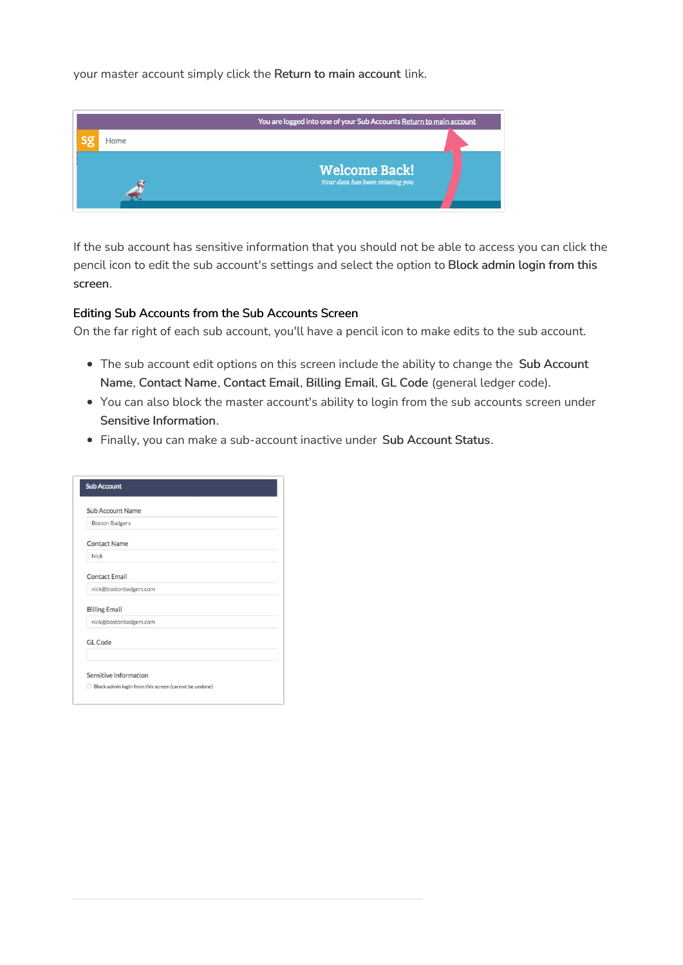your master account simply click the Return to main account link.



If the sub account has sensitive information that you should not be able to access you can click the pencil icon to edit the sub account's settings and select the option to Block admin login from this screen.

#### Editing Sub Accounts from the Sub Accounts Screen

On the far right of each sub account, you'll have a pencil icon to make edits to the sub account.

- The sub account edit options on this screen include the ability to change the Sub Account Name, Contact Name, Contact Email, Billing Email, GL Code (general ledger code).
- You can also block the master account's ability to login from the sub accounts screen under Sensitive Information.
- Finally, you can make a sub-account inactive under Sub Account Status.

| Sub Account Name      |                        |  |  |
|-----------------------|------------------------|--|--|
| <b>Boston Badgers</b> |                        |  |  |
| Contact Name          |                        |  |  |
| Nick                  |                        |  |  |
| <b>Contact Email</b>  |                        |  |  |
|                       | nick@bostonbadgers.com |  |  |
| <b>Billing Email</b>  |                        |  |  |
|                       | nick@bostonbadgers.com |  |  |
| <b>GL</b> Code        |                        |  |  |
|                       |                        |  |  |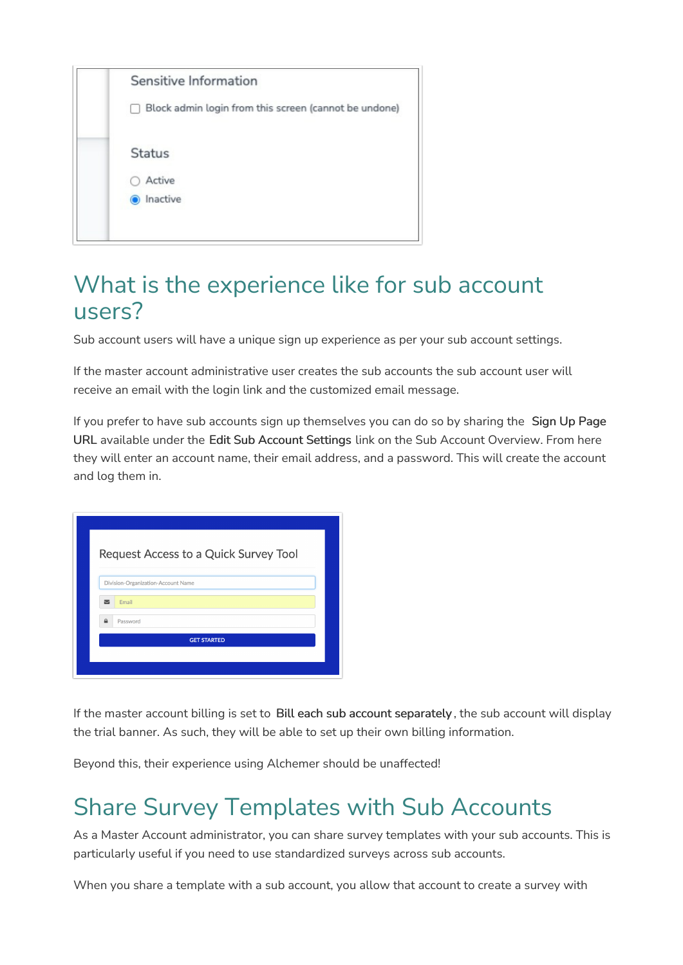| Sensitive Information                                      |
|------------------------------------------------------------|
| Block admin login from this screen (cannot be undone)<br>H |
| <b>Status</b>                                              |
| Active                                                     |
| Inactive                                                   |

## What is the experience like for sub account users?

Sub account users will have a unique sign up experience as per your sub account settings.

If the master account administrative user creates the sub accounts the sub account user will receive an email with the login link and the customized email message.

If you prefer to have sub accounts sign up themselves you can do so by sharing the Sign Up Page URL available under the Edit Sub Account Settings link on the Sub Account Overview. From here they will enter an account name, their email address, and a password. This will create the account and log them in.

|             | Request Access to a Quick Survey Tool |
|-------------|---------------------------------------|
|             |                                       |
|             | Division-Organization-Account Name    |
| ◛           | Email                                 |
| $\triangle$ | Password                              |
|             | <b>GET STARTED</b>                    |
|             |                                       |
|             |                                       |

If the master account billing is set to Bill each sub account separately, the sub account will display the trial banner. As such, they will be able to set up their own billing information.

Beyond this, their experience using Alchemer should be unaffected!

# Share Survey Templates with Sub Accounts

As a Master Account administrator, you can share survey templates with your sub accounts. This is particularly useful if you need to use standardized surveys across sub accounts.

When you share a template with a sub account, you allow that account to create a survey with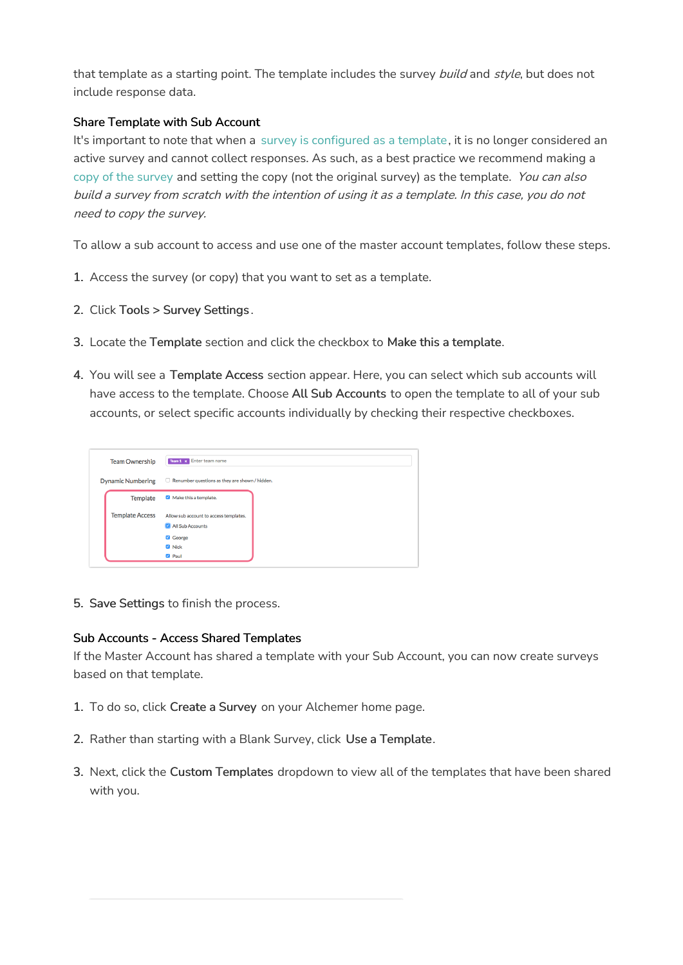that template as a starting point. The template includes the survey build and style, but does not include response data.

#### Share Template with Sub Account

It's important to note that when a survey is [configured](http://help.alchemer.com/help/survey-templates) as a template, it is no longer considered an active survey and cannot collect responses. As such, as a best practice we recommend making a copy of the [survey](http://help.alchemer.com/help/copy-a-survey) and setting the copy (not the original survey) as the template. You can also build <sup>a</sup> survey from scratch with the intention of using it as <sup>a</sup> template. In this case, you do not need to copy the survey.

To allow a sub account to access and use one of the master account templates, follow these steps.

- 1. Access the survey (or copy) that you want to set as a template.
- 2. Click Tools > Survey Settings .
- 3. Locate the Template section and click the checkbox to Make this a template.
- 4. You will see a Template Access section appear. Here, you can select which sub accounts will have access to the template. Choose All Sub Accounts to open the template to all of your sub accounts, or select specific accounts individually by checking their respective checkboxes.

| <b>Team Ownership</b>    | Team1 x Enter team name                             |
|--------------------------|-----------------------------------------------------|
| <b>Dynamic Numbering</b> | Renumber questions as they are shown / hidden.<br>o |
| Template                 | Make this a template.                               |
| <b>Template Access</b>   | Allow sub account to access templates.              |
|                          | All Sub Accounts                                    |
|                          | George<br><b>Z</b> Nick                             |
|                          | <b>2</b> Paul                                       |

5. Save Settings to finish the process.

#### Sub Accounts - Access Shared Templates

If the Master Account has shared a template with your Sub Account, you can now create surveys based on that template.

- 1. To do so, click Create a Survey on your Alchemer home page.
- 2. Rather than starting with a Blank Survey, click Use a Template.
- 3. Next, click the Custom Templates dropdown to view all of the templates that have been shared with you.